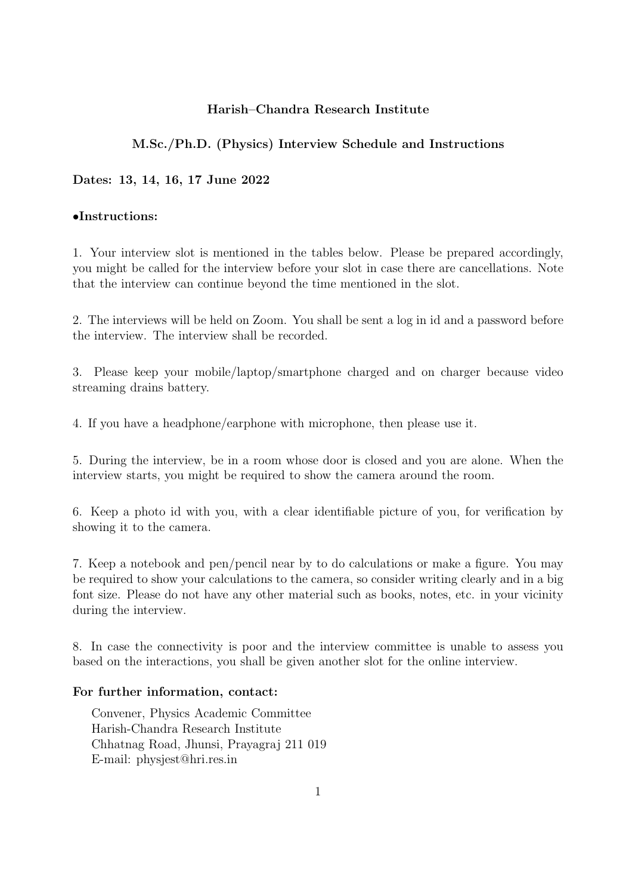#### Harish–Chandra Research Institute

#### M.Sc./Ph.D. (Physics) Interview Schedule and Instructions

#### Dates: 13, 14, 16, 17 June 2022

#### •Instructions:

1. Your interview slot is mentioned in the tables below. Please be prepared accordingly, you might be called for the interview before your slot in case there are cancellations. Note that the interview can continue beyond the time mentioned in the slot.

2. The interviews will be held on Zoom. You shall be sent a log in id and a password before the interview. The interview shall be recorded.

3. Please keep your mobile/laptop/smartphone charged and on charger because video streaming drains battery.

4. If you have a headphone/earphone with microphone, then please use it.

5. During the interview, be in a room whose door is closed and you are alone. When the interview starts, you might be required to show the camera around the room.

6. Keep a photo id with you, with a clear identifiable picture of you, for verification by showing it to the camera.

7. Keep a notebook and pen/pencil near by to do calculations or make a figure. You may be required to show your calculations to the camera, so consider writing clearly and in a big font size. Please do not have any other material such as books, notes, etc. in your vicinity during the interview.

8. In case the connectivity is poor and the interview committee is unable to assess you based on the interactions, you shall be given another slot for the online interview.

#### For further information, contact:

Convener, Physics Academic Committee Harish-Chandra Research Institute Chhatnag Road, Jhunsi, Prayagraj 211 019 E-mail: physjest@hri.res.in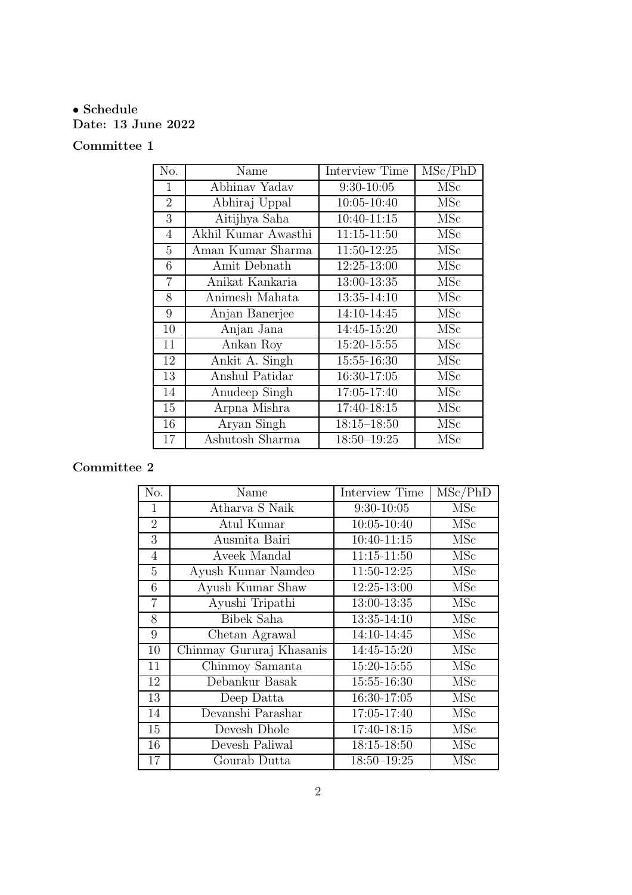# • Schedule Date: 13 June 2022

# Committee 1

| No.            | Name                              | Interview Time  | MSc/PhD    |
|----------------|-----------------------------------|-----------------|------------|
| 1              | Abhinav Yadav                     | $9:30-10:05$    | MSc        |
| $\overline{2}$ | Abhiraj Uppal                     | 10:05-10:40     | <b>MSc</b> |
| 3              | Aitijhya Saha                     | 10:40-11:15     | MSc        |
| $\overline{4}$ | Akhil Kumar Awasthi               | $11:15 - 11:50$ | <b>MSc</b> |
| 5              | Aman Kumar Sharma                 | 11:50-12:25     | MSc        |
| 6              | Amit Debnath                      | 12:25-13:00     | <b>MSc</b> |
| $\overline{7}$ | Anikat Kankaria                   | 13:00-13:35     | MSc        |
| 8              | Animesh Mahata                    | 13:35-14:10     | <b>MSc</b> |
| 9              | Anjan Banerjee                    | 14:10-14:45     | <b>MSc</b> |
| 10             | Anjan Jana                        | 14:45-15:20     | MSc        |
| 11             | Ankan Roy                         | 15:20-15:55     | <b>MSc</b> |
| 12             | Ankit A. Singh                    | 15:55-16:30     | <b>MSc</b> |
| 13             | Anshul Patidar                    | 16:30-17:05     | <b>MSc</b> |
| 14             | Anudeep $\overline{\text{Singh}}$ | 17:05-17:40     | <b>MSc</b> |
| 15             | Arpna Mishra                      | 17:40-18:15     | MSc        |
| 16             | Aryan Singh                       | $18:15 - 18:50$ | MSc        |
| 17             | Ashutosh Sharma                   | $18:50 - 19:25$ | <b>MSc</b> |

| No.            | Name                     | Interview Time  | MSc/PhD    |
|----------------|--------------------------|-----------------|------------|
| $\mathbf{1}$   | Atharva S Naik           | $9:30-10:05$    | MSc        |
| $\overline{2}$ | Atul Kumar               | 10:05-10:40     | MSc        |
| 3              | Ausmita Bairi            | 10:40-11:15     | <b>MSc</b> |
| $\overline{4}$ | Aveek Mandal             | 11:15-11:50     | MSc        |
| 5              | Ayush Kumar Namdeo       | 11:50-12:25     | MSc        |
| 6              | Ayush Kumar Shaw         | 12:25-13:00     | MSc        |
| $\overline{7}$ | Ayushi Tripathi          | 13:00-13:35     | <b>MSc</b> |
| 8              | Bibek Saha               | 13:35-14:10     | MSc        |
| 9              | Chetan Agrawal           | 14:10-14:45     | MSc        |
| 10             | Chinmay Gururaj Khasanis | 14:45-15:20     | MSc        |
| 11             | Chinmoy Samanta          | 15:20-15:55     | MSc        |
| 12             | Debankur Basak           | 15:55-16:30     | <b>MSc</b> |
| 13             | Deep Datta               | 16:30-17:05     | MSc        |
| 14             | Devanshi Parashar        | 17:05-17:40     | MSc        |
| 15             | Devesh Dhole             | 17:40-18:15     | MSc        |
| 16             | Devesh Paliwal           | 18:15-18:50     | MSc        |
| 17             | Gourab Dutta             | $18:50 - 19:25$ | MSc        |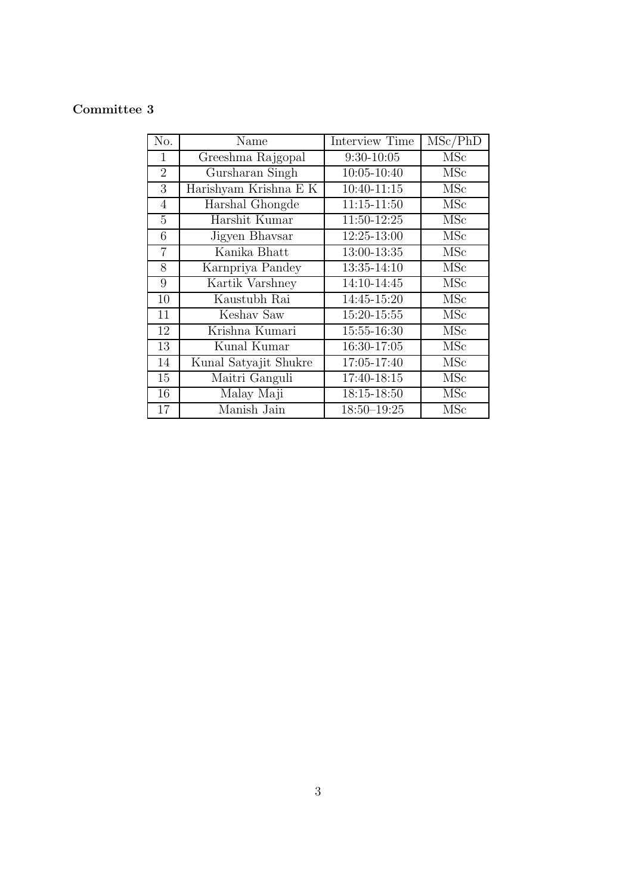| No.             | Name                  | <b>Interview Time</b> | MSc/PhD                   |
|-----------------|-----------------------|-----------------------|---------------------------|
| 1               | Greeshma Rajgopal     | $9:30-10:05$          | <b>MSc</b>                |
| $\overline{2}$  | Gursharan Singh       | 10:05-10:40           | MSc                       |
| 3               | Harishyam Krishna E K | $10:40 - 11:15$       | $\overline{\mathrm{MSc}}$ |
| $\overline{4}$  | Harshal Ghongde       | 11:15-11:50           | MSc                       |
| $\overline{5}$  | Harshit Kumar         | 11:50-12:25           | MSc                       |
| 6               | Jigyen Bhavsar        | 12:25-13:00           | <b>MSc</b>                |
| $\overline{7}$  | Kanika Bhatt          | 13:00-13:35           | <b>MSc</b>                |
| 8               | Karnpriya Pandey      | 13:35-14:10           | MSc                       |
| 9               | Kartik Varshney       | 14:10-14:45           | <b>MSc</b>                |
| 10              | Kaustubh Rai          | 14:45-15:20           | <b>MSc</b>                |
| 11              | Keshav Saw            | 15:20-15:55           | <b>MSc</b>                |
| 12              | Krishna Kumari        | 15:55-16:30           | $\overline{\mathrm{MSc}}$ |
| $\overline{13}$ | Kunal Kumar           | 16:30-17:05           | MSc                       |
| 14              | Kunal Satyajit Shukre | 17:05-17:40           | MSc                       |
| 15              | Maitri Ganguli        | 17:40-18:15           | MSc                       |
| 16              | Malay Maji            | 18:15-18:50           | MSc                       |
| 17              | Manish Jain           | $18:50 - 19:25$       | <b>MSc</b>                |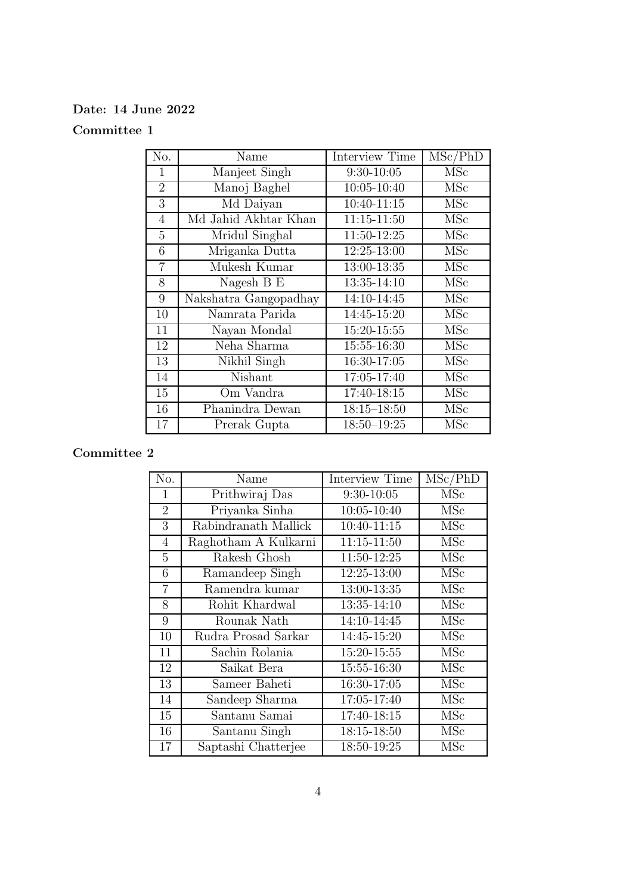#### Date: 14 June 2022

#### Committee 1

| No.             | Name                  | <b>Interview Time</b> | MSc/PhD    |
|-----------------|-----------------------|-----------------------|------------|
| 1               | Manjeet Singh         | $9:30-10:05$          | <b>MSc</b> |
| $\overline{2}$  | Manoj Baghel          | $10:05 - 10:40$       | <b>MSc</b> |
| 3               | Md Daiyan             | $10:40 - 11:15$       | <b>MSc</b> |
| $\overline{4}$  | Md Jahid Akhtar Khan  | $11:15 - 11:50$       | <b>MSc</b> |
| $\overline{5}$  | Mridul Singhal        | 11:50-12:25           | <b>MSc</b> |
| 6               | Mriganka Dutta        | 12:25-13:00           | MSc        |
| $\overline{7}$  | Mukesh Kumar          | 13:00-13:35           | MSc        |
| 8               | Nagesh B E            | 13:35-14:10           | MSc        |
| $9\phantom{.0}$ | Nakshatra Gangopadhay | 14:10-14:45           | MSc        |
| 10              | Namrata Parida        | 14:45-15:20           | <b>MSc</b> |
| 11              | Nayan Mondal          | 15:20-15:55           | MSc        |
| 12              | Neha Sharma           | 15:55-16:30           | <b>MSc</b> |
| 13              | Nikhil Singh          | 16:30-17:05           | <b>MSc</b> |
| 14              | Nishant               | 17:05-17:40           | MSc        |
| 15              | Om Vandra             | 17:40-18:15           | MSc        |
| 16              | Phanindra Dewan       | $18:15 - 18:50$       | MSc        |
| 17              | Prerak Gupta          | $18:50 - 19:25$       | MSc        |

| No.            | Name                 | Interview Time  | MSc/PhD    |
|----------------|----------------------|-----------------|------------|
| 1              | Prithwiraj Das       | $9:30-10:05$    | <b>MSc</b> |
| $\overline{2}$ | Priyanka Sinha       | $10:05 - 10:40$ | MSc        |
| 3              | Rabindranath Mallick | $10:40 - 11:15$ | MSc        |
| 4              | Raghotham A Kulkarni | $11:15 - 11:50$ | MSc        |
| 5              | Rakesh Ghosh         | 11:50-12:25     | MSc        |
| 6              | Ramandeep Singh      | $12:25 - 13:00$ | MSc        |
| $\overline{7}$ | Ramendra kumar       | 13:00-13:35     | MSc        |
| 8              | Rohit Khardwal       | 13:35-14:10     | <b>MSc</b> |
| 9              | Rounak Nath          | 14:10-14:45     | MSc        |
| 10             | Rudra Prosad Sarkar  | 14:45-15:20     | <b>MSc</b> |
| 11             | Sachin Rolania       | 15:20-15:55     | MSc        |
| 12             | Saikat Bera          | 15:55-16:30     | <b>MSc</b> |
| 13             | Sameer Baheti        | 16:30-17:05     | <b>MSc</b> |
| 14             | Sandeep Sharma       | 17:05-17:40     | <b>MSc</b> |
| 15             | Santanu Samai        | 17:40-18:15     | <b>MSc</b> |
| 16             | Santanu Singh        | 18:15-18:50     | MSc        |
| 17             | Saptashi Chatterjee  | 18:50-19:25     | MSc        |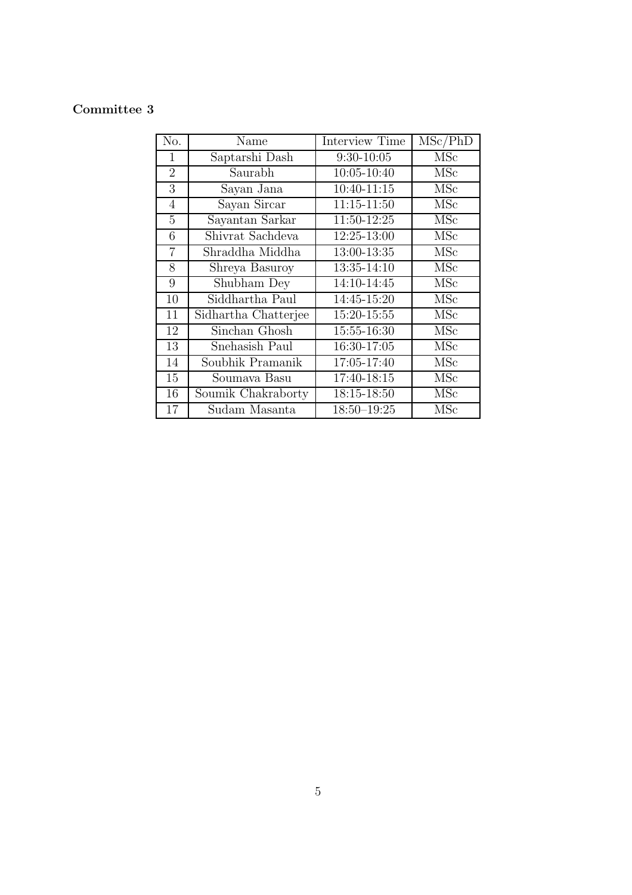| No.            | Name                 | Interview Time  | MSc/PhD                   |
|----------------|----------------------|-----------------|---------------------------|
| 1              | Saptarshi Dash       | $9:30-10:05$    | <b>MSc</b>                |
| $\overline{2}$ | Saurabh              | $10:05 - 10:40$ | <b>MSc</b>                |
| 3              | Sayan Jana           | 10:40-11:15     | MSc                       |
| $\overline{4}$ | Sayan Sircar         | $11:15 - 11:50$ | MSc                       |
| 5              | Sayantan Sarkar      | 11:50-12:25     | MSc                       |
| 6              | Shivrat Sachdeva     | 12:25-13:00     | <b>MSc</b>                |
| $\overline{7}$ | Shraddha Middha      | 13:00-13:35     | MSc                       |
| 8              | Shreya Basuroy       | 13:35-14:10     | <b>MSc</b>                |
| 9              | Shubham Dey          | 14:10-14:45     | <b>MSc</b>                |
| 10             | Siddhartha Paul      | 14:45-15:20     | MSc                       |
| 11             | Sidhartha Chatterjee | 15:20-15:55     | MSc                       |
| 12             | Sinchan Ghosh        | 15:55-16:30     | $\overline{\mathrm{MSc}}$ |
| 13             | Snehasish Paul       | 16:30-17:05     | <b>MSc</b>                |
| 14             | Soubhik Pramanik     | 17:05-17:40     | <b>MSc</b>                |
| 15             | Soumava Basu         | 17:40-18:15     | <b>MSc</b>                |
| 16             | Soumik Chakraborty   | 18:15-18:50     | MSc                       |
| 17             | Sudam Masanta        | $18:50 - 19:25$ | MSc                       |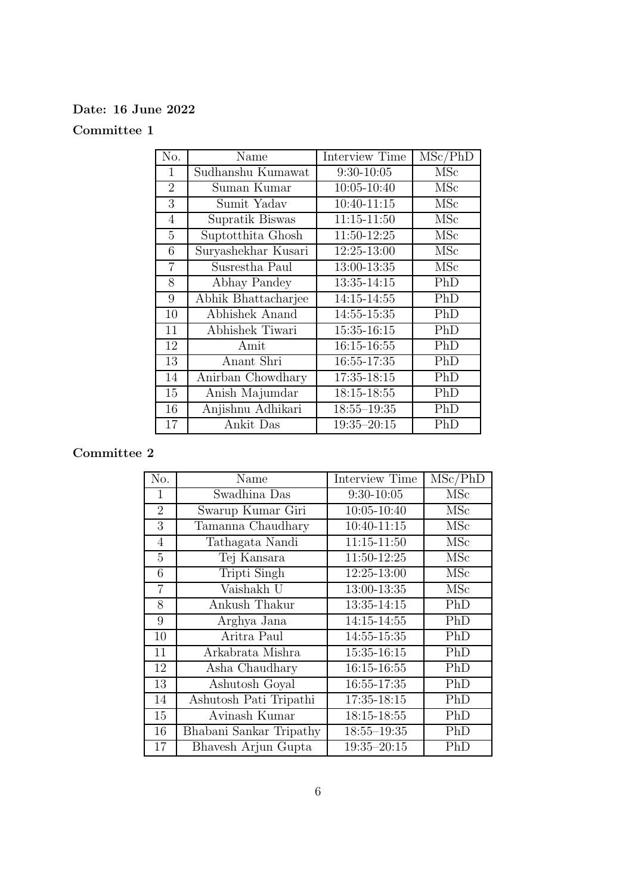### Date: 16 June 2022

## Committee 1

| No.            | Name                | Interview Time  | MSc/PhD    |
|----------------|---------------------|-----------------|------------|
| 1              | Sudhanshu Kumawat   | $9:30-10:05$    | <b>MSc</b> |
| $\overline{2}$ | Suman Kumar         | $10:05 - 10:40$ | <b>MSc</b> |
| 3              | Sumit Yadav         | 10:40-11:15     | <b>MSc</b> |
| $\overline{4}$ | Supratik Biswas     | $11:15 - 11:50$ | <b>MSc</b> |
| $\overline{5}$ | Suptothita Ghosh    | 11:50-12:25     | MSc        |
| 6              | Suryashekhar Kusari | 12:25-13:00     | MSc        |
| $\overline{7}$ | Susrestha Paul      | 13:00-13:35     | <b>MSc</b> |
| 8              | Abhay Pandey        | 13:35-14:15     | PhD        |
| 9              | Abhik Bhattacharjee | 14:15-14:55     | PhD        |
| 10             | Abhishek Anand      | 14:55-15:35     | PhD        |
| 11             | Abhishek Tiwari     | 15:35-16:15     | PhD        |
| 12             | Amit                | 16:15-16:55     | PhD        |
| 13             | Anant Shri          | 16:55-17:35     | PhD        |
| 14             | Anirban Chowdhary   | 17:35-18:15     | PhD        |
| 15             | Anish Majumdar      | 18:15-18:55     | PhD        |
| 16             | Anjishnu Adhikari   | $18:55 - 19:35$ | PhD        |
| 17             | Ankit Das           | $19:35 - 20:15$ | PhD        |

| No.            | Name                    | <b>Interview Time</b> | MSc/PhD    |
|----------------|-------------------------|-----------------------|------------|
| $\mathbf{1}$   | Swadhina Das            | $9:30-10:05$          | MSc        |
| $\overline{2}$ | Swarup Kumar Giri       | $10:05 - 10:40$       | MSc        |
| 3              | Tamanna Chaudhary       | $10:40 - 11:15$       | MSc        |
| $\overline{4}$ | Tathagata Nandi         | $11:15 - 11:50$       | MSc        |
| 5              | Tej Kansara             | 11:50-12:25           | MSc        |
| 6              | Tripti Singh            | 12:25-13:00           | MSc        |
| $\overline{7}$ | Vaishakh U              | 13:00-13:35           | <b>MSc</b> |
| 8              | Ankush Thakur           | 13:35-14:15           | PhD        |
| 9              | Arghya Jana             | 14:15-14:55           | PhD        |
| 10             | Aritra Paul             | 14:55-15:35           | PhD        |
| 11             | Arkabrata Mishra        | 15:35-16:15           | PhD        |
| 12             | Asha Chaudhary          | 16:15-16:55           | PhD        |
| 13             | Ashutosh Goyal          | 16:55-17:35           | PhD        |
| 14             | Ashutosh Pati Tripathi  | 17:35-18:15           | PhD        |
| 15             | Avinash Kumar           | $18:15 - 18:55$       | PhD        |
| 16             | Bhabani Sankar Tripathy | $18:55 - 19:35$       | PhD        |
| 17             | Bhavesh Arjun Gupta     | $19:35 - 20:15$       | PhD        |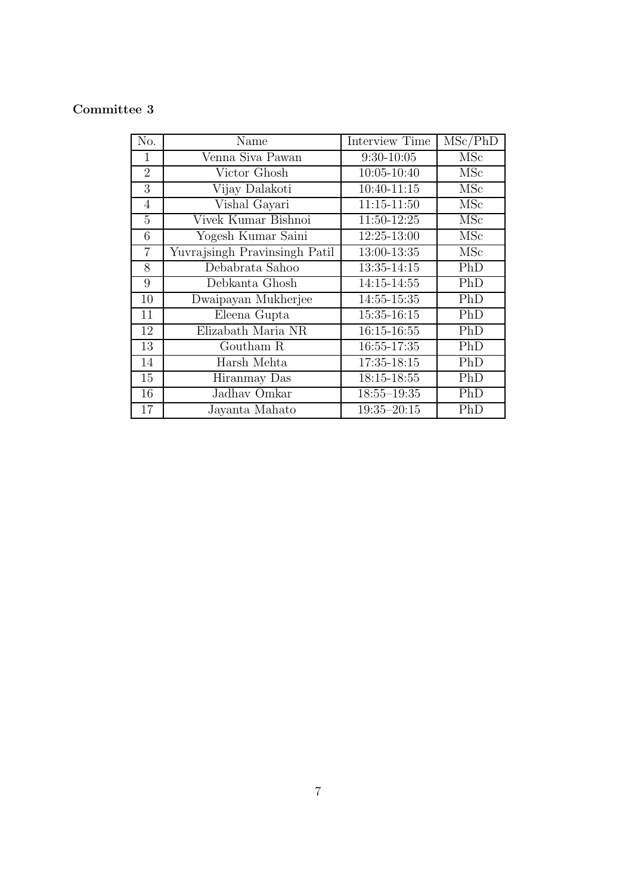| No.            | Name                          | <b>Interview Time</b> | MSc/PhD    |
|----------------|-------------------------------|-----------------------|------------|
| 1              | Venna Siva Pawan              | $9:30-10:05$          | <b>MSc</b> |
| $\overline{2}$ | Victor Ghosh                  | $10:05 - 10:40$       | <b>MSc</b> |
| 3              | Vijay Dalakoti                | 10:40-11:15           | <b>MSc</b> |
| $\overline{4}$ | Vishal Gayari                 | $11:15 - 11:50$       | <b>MSc</b> |
| $\overline{5}$ | Vivek Kumar Bishnoi           | 11:50-12:25           | <b>MSc</b> |
| 6              | Yogesh Kumar Saini            | 12:25-13:00           | MSc        |
| $\overline{7}$ | Yuvrajsingh Pravinsingh Patil | 13:00-13:35           | <b>MSc</b> |
| 8              | Debabrata Sahoo               | $13:35 - 14:15$       | PhD        |
| 9              | Debkanta Ghosh                | 14:15-14:55           | PhD        |
| 10             | Dwaipayan Mukherjee           | 14:55-15:35           | PhD        |
| 11             | Eleena Gupta                  | 15:35-16:15           | PhD        |
| 12             | Elizabath Maria NR            | 16:15-16:55           | PhD        |
| 13             | Goutham R                     | 16:55-17:35           | PhD        |
| 14             | Harsh Mehta                   | 17:35-18:15           | PhD        |
| 15             | Hiranmay Das                  | 18:15-18:55           | PhD        |
| 16             | Jadhav Omkar                  | $18:55 - 19:35$       | PhD        |
| 17             | Jayanta Mahato                | $19:35 - 20:15$       | PhD        |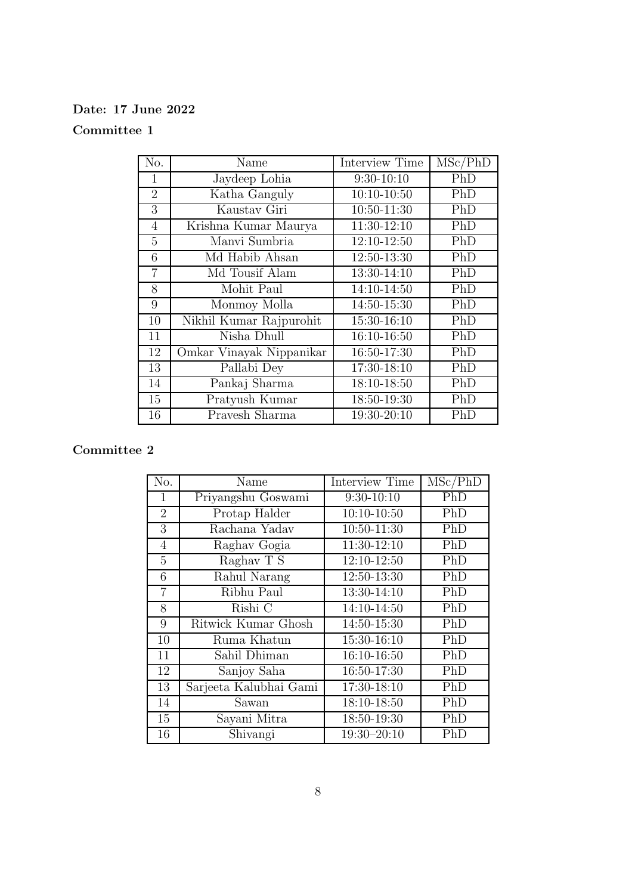#### Date: 17 June 2022

#### Committee 1

| No.            | Name                     | Interview Time | MSc/PhD |
|----------------|--------------------------|----------------|---------|
| 1              | Jaydeep Lohia            | $9:30-10:10$   | PhD     |
| $\overline{2}$ | Katha Ganguly            | $10:10-10:50$  | PhD     |
| 3              | Kaustav Giri             | 10:50-11:30    | PhD     |
| $\overline{4}$ | Krishna Kumar Maurya     | 11:30-12:10    | PhD     |
| 5              | Manyi Sumbria            | 12:10-12:50    | PhD     |
| 6              | Md Habib Ahsan           | 12:50-13:30    | PhD     |
| $\overline{7}$ | Md Tousif Alam           | 13:30-14:10    | PhD     |
| 8              | Mohit Paul               | 14:10-14:50    | PhD     |
| 9              | Monmoy Molla             | 14:50-15:30    | PhD     |
| 10             | Nikhil Kumar Rajpurohit  | 15:30-16:10    | PhD     |
| 11             | Nisha Dhull              | 16:10-16:50    | PhD     |
| 12             | Omkar Vinayak Nippanikar | 16:50-17:30    | PhD     |
| 13             | Pallabi Dey              | 17:30-18:10    | PhD     |
| 14             | Pankaj Sharma            | 18:10-18:50    | PhD     |
| 15             | Pratyush Kumar           | 18:50-19:30    | PhD     |
| 16             | Pravesh Sharma           | 19:30-20:10    | PhD     |

| No.            | Name                   | <b>Interview Time</b> | MSc/PhD |
|----------------|------------------------|-----------------------|---------|
| 1              | Priyangshu Goswami     | $9:30-10:10$          | PhD     |
| $\overline{2}$ | Protap Halder          | $10:10-10:50$         | PhD     |
| 3              | Rachana Yadav          | 10:50-11:30           | PhD     |
| 4              | Raghav Gogia           | 11:30-12:10           | PhD     |
| 5              | Raghav $\overline{T}S$ | $12:10-12:50$         | PhD     |
| 6              | Rahul Narang           | 12:50-13:30           | PhD     |
| $\overline{7}$ | Ribhu Paul             | 13:30-14:10           | PhD     |
| 8              | Rishi C                | 14:10-14:50           | PhD     |
| 9              | Ritwick Kumar Ghosh    | 14:50-15:30           | PhD     |
| 10             | Ruma Khatun            | 15:30-16:10           | PhD     |
| 11             | Sahil Dhiman           | 16:10-16:50           | PhD     |
| 12             | Sanjoy Saha            | 16:50-17:30           | PhD     |
| 13             | Sarjeeta Kalubhai Gami | 17:30-18:10           | PhD     |
| 14             | Sawan                  | 18:10-18:50           | PhD     |
| 15             | Sayani Mitra           | 18:50-19:30           | PhD     |
| 16             | Shivangi               | $19:30 - 20:10$       | PhD     |